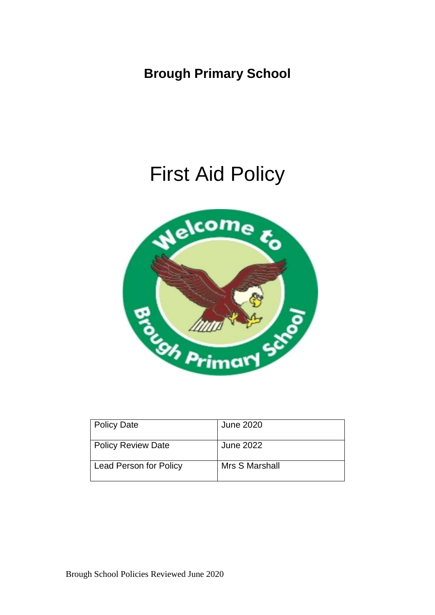**Brough Primary School**

# First Aid Policy



| <b>Policy Date</b>        | <b>June 2020</b> |
|---------------------------|------------------|
| <b>Policy Review Date</b> | <b>June 2022</b> |
| Lead Person for Policy    | Mrs S Marshall   |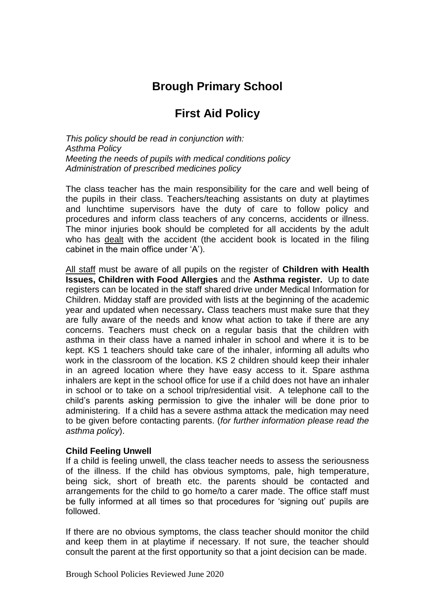## **Brough Primary School**

### **First Aid Policy**

*This policy should be read in conjunction with: Asthma Policy Meeting the needs of pupils with medical conditions policy Administration of prescribed medicines policy*

The class teacher has the main responsibility for the care and well being of the pupils in their class. Teachers/teaching assistants on duty at playtimes and lunchtime supervisors have the duty of care to follow policy and procedures and inform class teachers of any concerns, accidents or illness. The minor injuries book should be completed for all accidents by the adult who has dealt with the accident (the accident book is located in the filing cabinet in the main office under 'A').

All staff must be aware of all pupils on the register of **Children with Health Issues, Children with Food Allergies** and the **Asthma register.** Up to date registers can be located in the staff shared drive under Medical Information for Children. Midday staff are provided with lists at the beginning of the academic year and updated when necessary**.** Class teachers must make sure that they are fully aware of the needs and know what action to take if there are any concerns. Teachers must check on a regular basis that the children with asthma in their class have a named inhaler in school and where it is to be kept. KS 1 teachers should take care of the inhaler, informing all adults who work in the classroom of the location. KS 2 children should keep their inhaler in an agreed location where they have easy access to it. Spare asthma inhalers are kept in the school office for use if a child does not have an inhaler in school or to take on a school trip/residential visit. A telephone call to the child's parents asking permission to give the inhaler will be done prior to administering. If a child has a severe asthma attack the medication may need to be given before contacting parents. (*for further information please read the asthma policy*).

#### **Child Feeling Unwell**

If a child is feeling unwell, the class teacher needs to assess the seriousness of the illness. If the child has obvious symptoms, pale, high temperature, being sick, short of breath etc. the parents should be contacted and arrangements for the child to go home/to a carer made. The office staff must be fully informed at all times so that procedures for 'signing out' pupils are followed.

If there are no obvious symptoms, the class teacher should monitor the child and keep them in at playtime if necessary. If not sure, the teacher should consult the parent at the first opportunity so that a joint decision can be made.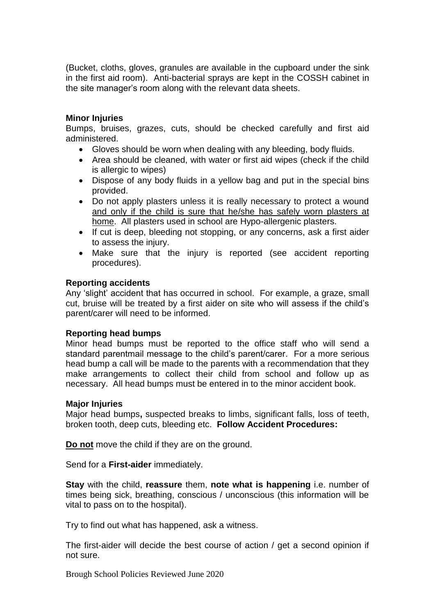(Bucket, cloths, gloves, granules are available in the cupboard under the sink in the first aid room). Anti-bacterial sprays are kept in the COSSH cabinet in the site manager's room along with the relevant data sheets.

#### **Minor Injuries**

Bumps, bruises, grazes, cuts, should be checked carefully and first aid administered.

- Gloves should be worn when dealing with any bleeding, body fluids.
- Area should be cleaned, with water or first aid wipes (check if the child is allergic to wipes)
- Dispose of any body fluids in a yellow bag and put in the special bins provided.
- Do not apply plasters unless it is really necessary to protect a wound and only if the child is sure that he/she has safely worn plasters at home. All plasters used in school are Hypo-allergenic plasters.
- If cut is deep, bleeding not stopping, or any concerns, ask a first aider to assess the injury.
- Make sure that the injury is reported (see accident reporting procedures).

#### **Reporting accidents**

Any 'slight' accident that has occurred in school. For example, a graze, small cut, bruise will be treated by a first aider on site who will assess if the child's parent/carer will need to be informed.

#### **Reporting head bumps**

Minor head bumps must be reported to the office staff who will send a standard parentmail message to the child's parent/carer. For a more serious head bump a call will be made to the parents with a recommendation that they make arrangements to collect their child from school and follow up as necessary. All head bumps must be entered in to the minor accident book.

#### **Major Injuries**

Major head bumps**,** suspected breaks to limbs, significant falls, loss of teeth, broken tooth, deep cuts, bleeding etc. **Follow Accident Procedures:**

**Do not** move the child if they are on the ground.

Send for a **First-aider** immediately.

**Stay** with the child, **reassure** them, **note what is happening** i.e. number of times being sick, breathing, conscious / unconscious (this information will be vital to pass on to the hospital).

Try to find out what has happened, ask a witness.

The first-aider will decide the best course of action / get a second opinion if not sure.

Brough School Policies Reviewed June 2020